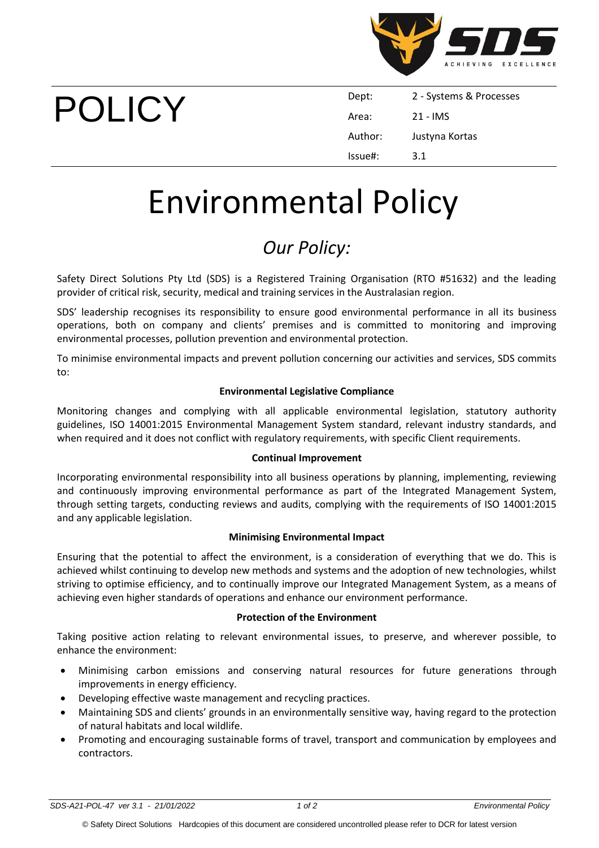

# POLICY

| Dept:   | 2 - Systems & Processes |
|---------|-------------------------|
| Area:   | 21 - IMS                |
| Author: | Justyna Kortas          |
| lssue#: | 3.1                     |

## Environmental Policy

### *Our Policy:*

Safety Direct Solutions Pty Ltd (SDS) is a Registered Training Organisation (RTO #51632) and the leading provider of critical risk, security, medical and training services in the Australasian region.

SDS' leadership recognises its responsibility to ensure good environmental performance in all its business operations, both on company and clients' premises and is committed to monitoring and improving environmental processes, pollution prevention and environmental protection.

To minimise environmental impacts and prevent pollution concerning our activities and services, SDS commits to:

#### **Environmental Legislative Compliance**

Monitoring changes and complying with all applicable environmental legislation, statutory authority guidelines, ISO 14001:2015 Environmental Management System standard, relevant industry standards, and when required and it does not conflict with regulatory requirements, with specific Client requirements.

#### **Continual Improvement**

Incorporating environmental responsibility into all business operations by planning, implementing, reviewing and continuously improving environmental performance as part of the Integrated Management System, through setting targets, conducting reviews and audits, complying with the requirements of ISO 14001:2015 and any applicable legislation.

#### **Minimising Environmental Impact**

Ensuring that the potential to affect the environment, is a consideration of everything that we do. This is achieved whilst continuing to develop new methods and systems and the adoption of new technologies, whilst striving to optimise efficiency, and to continually improve our Integrated Management System, as a means of achieving even higher standards of operations and enhance our environment performance.

#### **Protection of the Environment**

Taking positive action relating to relevant environmental issues, to preserve, and wherever possible, to enhance the environment:

- Minimising carbon emissions and conserving natural resources for future generations through improvements in energy efficiency.
- Developing effective waste management and recycling practices.
- Maintaining SDS and clients' grounds in an environmentally sensitive way, having regard to the protection of natural habitats and local wildlife.
- Promoting and encouraging sustainable forms of travel, transport and communication by employees and contractors.